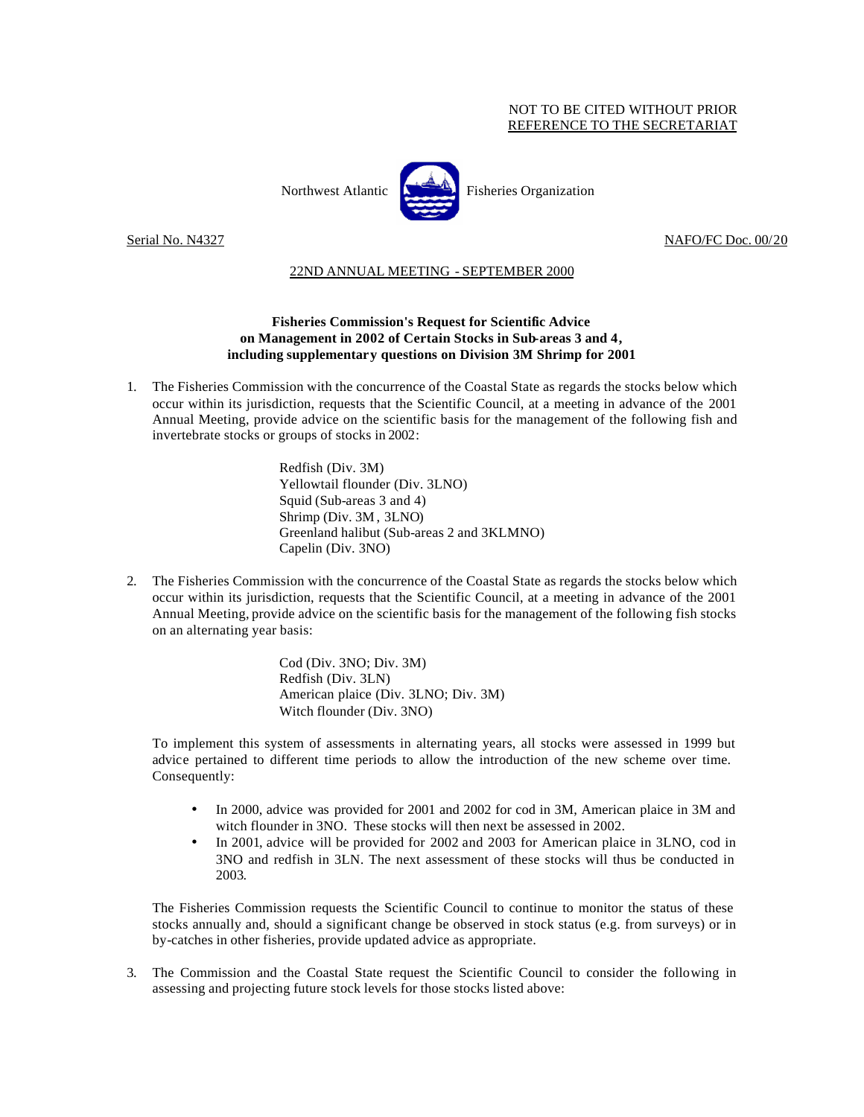## NOT TO BE CITED WITHOUT PRIOR REFERENCE TO THE SECRETARIAT



Northwest Atlantic  $\begin{bmatrix} 1 & 1 \\ 1 & 1 \end{bmatrix}$  Fisheries Organization

Serial No. N4327 NAFO/FC Doc. 00/20

## 22ND ANNUAL MEETING - SEPTEMBER 2000

## **Fisheries Commission's Request for Scientific Advice on Management in 2002 of Certain Stocks in Sub-areas 3 and 4, including supplementary questions on Division 3M Shrimp for 2001**

1. The Fisheries Commission with the concurrence of the Coastal State as regards the stocks below which occur within its jurisdiction, requests that the Scientific Council, at a meeting in advance of the 2001 Annual Meeting, provide advice on the scientific basis for the management of the following fish and invertebrate stocks or groups of stocks in 2002:

> Redfish (Div. 3M) Yellowtail flounder (Div. 3LNO) Squid (Sub-areas 3 and 4) Shrimp (Div. 3M , 3LNO) Greenland halibut (Sub-areas 2 and 3KLMNO) Capelin (Div. 3NO)

2. The Fisheries Commission with the concurrence of the Coastal State as regards the stocks below which occur within its jurisdiction, requests that the Scientific Council, at a meeting in advance of the 2001 Annual Meeting, provide advice on the scientific basis for the management of the following fish stocks on an alternating year basis:

> Cod (Div. 3NO; Div. 3M) Redfish (Div. 3LN) American plaice (Div. 3LNO; Div. 3M) Witch flounder (Div. 3NO)

To implement this system of assessments in alternating years, all stocks were assessed in 1999 but advice pertained to different time periods to allow the introduction of the new scheme over time. Consequently:

- In 2000, advice was provided for 2001 and 2002 for cod in 3M, American plaice in 3M and witch flounder in 3NO. These stocks will then next be assessed in 2002.
- In 2001, advice will be provided for 2002 and 2003 for American plaice in 3LNO, cod in 3NO and redfish in 3LN. The next assessment of these stocks will thus be conducted in 2003.

The Fisheries Commission requests the Scientific Council to continue to monitor the status of these stocks annually and, should a significant change be observed in stock status (e.g. from surveys) or in by-catches in other fisheries, provide updated advice as appropriate.

3. The Commission and the Coastal State request the Scientific Council to consider the following in assessing and projecting future stock levels for those stocks listed above: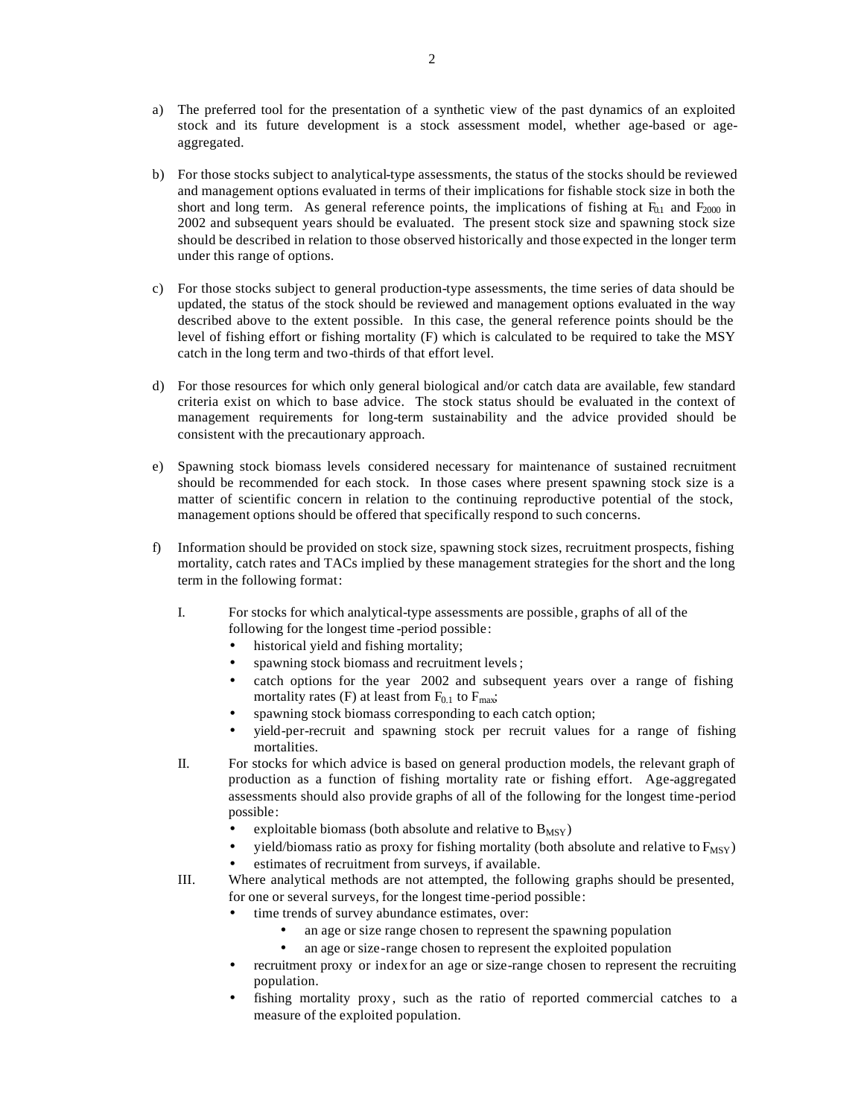- a) The preferred tool for the presentation of a synthetic view of the past dynamics of an exploited stock and its future development is a stock assessment model, whether age-based or ageaggregated.
- b) For those stocks subject to analytical-type assessments, the status of the stocks should be reviewed and management options evaluated in terms of their implications for fishable stock size in both the short and long term. As general reference points, the implications of fishing at  $F_{0.1}$  and  $F_{2000}$  in 2002 and subsequent years should be evaluated. The present stock size and spawning stock size should be described in relation to those observed historically and those expected in the longer term under this range of options.
- c) For those stocks subject to general production-type assessments, the time series of data should be updated, the status of the stock should be reviewed and management options evaluated in the way described above to the extent possible. In this case, the general reference points should be the level of fishing effort or fishing mortality (F) which is calculated to be required to take the MSY catch in the long term and two-thirds of that effort level.
- d) For those resources for which only general biological and/or catch data are available, few standard criteria exist on which to base advice. The stock status should be evaluated in the context of management requirements for long-term sustainability and the advice provided should be consistent with the precautionary approach.
- e) Spawning stock biomass levels considered necessary for maintenance of sustained recruitment should be recommended for each stock. In those cases where present spawning stock size is a matter of scientific concern in relation to the continuing reproductive potential of the stock, management options should be offered that specifically respond to such concerns.
- f) Information should be provided on stock size, spawning stock sizes, recruitment prospects, fishing mortality, catch rates and TACs implied by these management strategies for the short and the long term in the following format:
	- I. For stocks for which analytical-type assessments are possible, graphs of all of the following for the longest time -period possible:
		- historical yield and fishing mortality;
		- spawning stock biomass and recruitment levels;
		- catch options for the year 2002 and subsequent years over a range of fishing mortality rates (F) at least from  $F_{0.1}$  to  $F_{\text{max}}$ ;
		- spawning stock biomass corresponding to each catch option;
		- yield-per-recruit and spawning stock per recruit values for a range of fishing mortalities.
	- II. For stocks for which advice is based on general production models, the relevant graph of production as a function of fishing mortality rate or fishing effort. Age-aggregated assessments should also provide graphs of all of the following for the longest time-period possible:
		- exploitable biomass (both absolute and relative to  $B_{MSY}$ )
		- yield/biomass ratio as proxy for fishing mortality (both absolute and relative to  $F_{MSY}$ )
		- estimates of recruitment from surveys, if available.
	- III. Where analytical methods are not attempted, the following graphs should be presented, for one or several surveys, for the longest time-period possible:
		- time trends of survey abundance estimates, over:
			- an age or size range chosen to represent the spawning population
			- an age or size-range chosen to represent the exploited population
		- recruitment proxy or index for an age or size-range chosen to represent the recruiting population.
		- fishing mortality proxy, such as the ratio of reported commercial catches to a measure of the exploited population.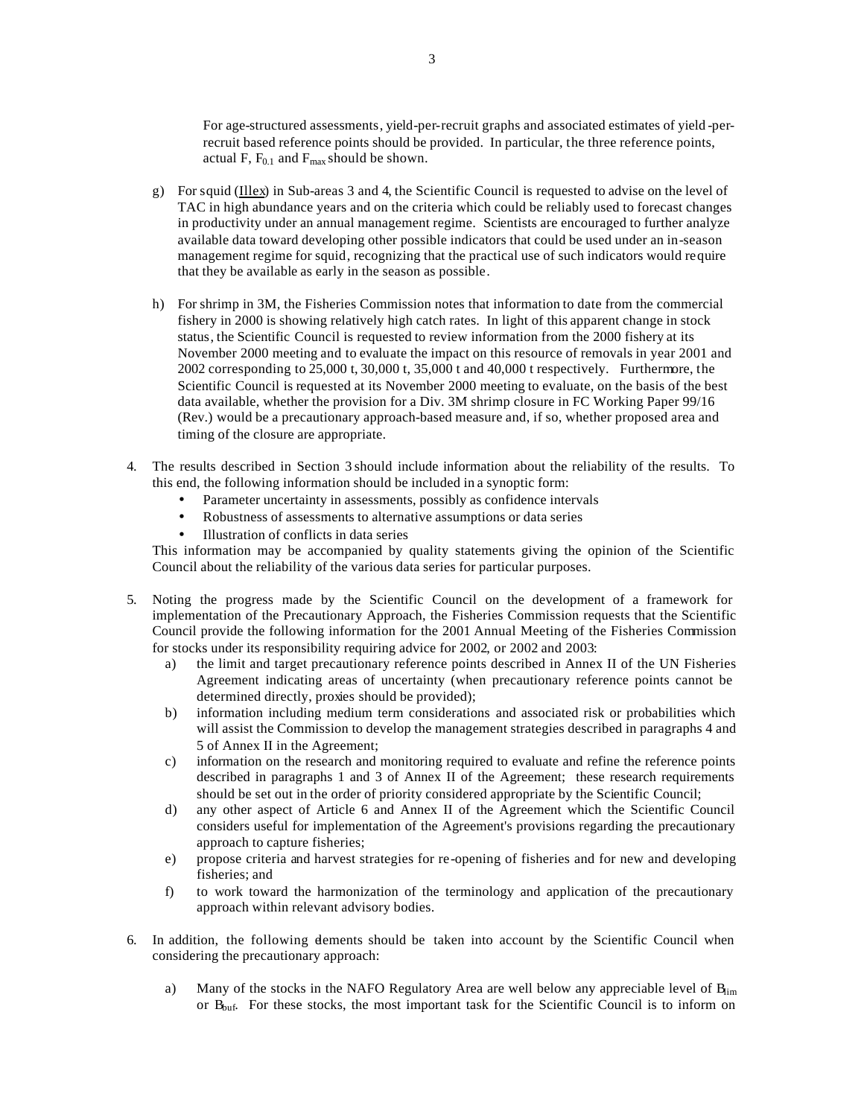For age-structured assessments, yield-per-recruit graphs and associated estimates of yield -perrecruit based reference points should be provided. In particular, the three reference points, actual F,  $F_{0.1}$  and  $F_{\text{max}}$  should be shown.

- g) For squid (Illex) in Sub-areas 3 and 4, the Scientific Council is requested to advise on the level of TAC in high abundance years and on the criteria which could be reliably used to forecast changes in productivity under an annual management regime. Scientists are encouraged to further analyze available data toward developing other possible indicators that could be used under an in-season management regime for squid, recognizing that the practical use of such indicators would require that they be available as early in the season as possible.
- h) For shrimp in 3M, the Fisheries Commission notes that information to date from the commercial fishery in 2000 is showing relatively high catch rates. In light of this apparent change in stock status, the Scientific Council is requested to review information from the 2000 fishery at its November 2000 meeting and to evaluate the impact on this resource of removals in year 2001 and 2002 corresponding to 25,000 t, 30,000 t, 35,000 t and 40,000 t respectively. Furthermore, the Scientific Council is requested at its November 2000 meeting to evaluate, on the basis of the best data available, whether the provision for a Div. 3M shrimp closure in FC Working Paper 99/16 (Rev.) would be a precautionary approach-based measure and, if so, whether proposed area and timing of the closure are appropriate.
- 4. The results described in Section 3 should include information about the reliability of the results. To this end, the following information should be included in a synoptic form:
	- Parameter uncertainty in assessments, possibly as confidence intervals
	- Robustness of assessments to alternative assumptions or data series
	- Illustration of conflicts in data series

This information may be accompanied by quality statements giving the opinion of the Scientific Council about the reliability of the various data series for particular purposes.

- 5. Noting the progress made by the Scientific Council on the development of a framework for implementation of the Precautionary Approach, the Fisheries Commission requests that the Scientific Council provide the following information for the 2001 Annual Meeting of the Fisheries Commission for stocks under its responsibility requiring advice for 2002, or 2002 and 2003:
	- a) the limit and target precautionary reference points described in Annex II of the UN Fisheries Agreement indicating areas of uncertainty (when precautionary reference points cannot be determined directly, proxies should be provided);
	- b) information including medium term considerations and associated risk or probabilities which will assist the Commission to develop the management strategies described in paragraphs 4 and 5 of Annex II in the Agreement;
	- c) information on the research and monitoring required to evaluate and refine the reference points described in paragraphs 1 and 3 of Annex II of the Agreement; these research requirements should be set out in the order of priority considered appropriate by the Scientific Council;
	- d) any other aspect of Article 6 and Annex II of the Agreement which the Scientific Council considers useful for implementation of the Agreement's provisions regarding the precautionary approach to capture fisheries;
	- e) propose criteria and harvest strategies for re-opening of fisheries and for new and developing fisheries; and
	- f) to work toward the harmonization of the terminology and application of the precautionary approach within relevant advisory bodies.
- 6. In addition, the following elements should be taken into account by the Scientific Council when considering the precautionary approach:
	- a) Many of the stocks in the NAFO Regulatory Area are well below any appreciable level of  $B_{\text{lim}}$ or  $B_{\text{buf}}$ . For these stocks, the most important task for the Scientific Council is to inform on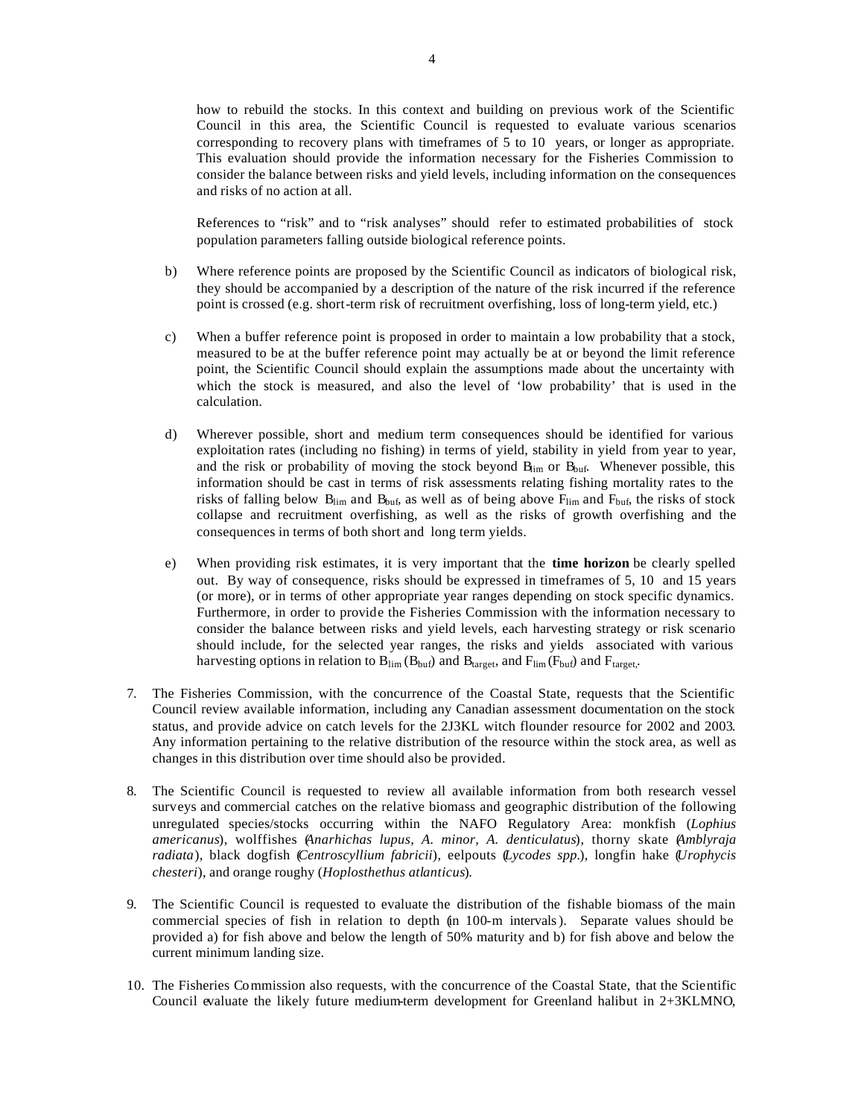how to rebuild the stocks. In this context and building on previous work of the Scientific Council in this area, the Scientific Council is requested to evaluate various scenarios corresponding to recovery plans with timeframes of 5 to 10 years, or longer as appropriate. This evaluation should provide the information necessary for the Fisheries Commission to consider the balance between risks and yield levels, including information on the consequences and risks of no action at all.

References to "risk" and to "risk analyses" should refer to estimated probabilities of stock population parameters falling outside biological reference points.

- b) Where reference points are proposed by the Scientific Council as indicators of biological risk, they should be accompanied by a description of the nature of the risk incurred if the reference point is crossed (e.g. short-term risk of recruitment overfishing, loss of long-term yield, etc.)
- c) When a buffer reference point is proposed in order to maintain a low probability that a stock, measured to be at the buffer reference point may actually be at or beyond the limit reference point, the Scientific Council should explain the assumptions made about the uncertainty with which the stock is measured, and also the level of 'low probability' that is used in the calculation.
- d) Wherever possible, short and medium term consequences should be identified for various exploitation rates (including no fishing) in terms of yield, stability in yield from year to year, and the risk or probability of moving the stock beyond  $B_{\text{lim}}$  or  $B_{\text{buf}}$ . Whenever possible, this information should be cast in terms of risk assessments relating fishing mortality rates to the risks of falling below  $B_{\text{lim}}$  and  $B_{\text{buf}}$ , as well as of being above  $F_{\text{lim}}$  and  $F_{\text{buf}}$ , the risks of stock collapse and recruitment overfishing, as well as the risks of growth overfishing and the consequences in terms of both short and long term yields.
- e) When providing risk estimates, it is very important that the **time horizon** be clearly spelled out. By way of consequence, risks should be expressed in timeframes of 5, 10 and 15 years (or more), or in terms of other appropriate year ranges depending on stock specific dynamics. Furthermore, in order to provide the Fisheries Commission with the information necessary to consider the balance between risks and yield levels, each harvesting strategy or risk scenario should include, for the selected year ranges, the risks and yields associated with various harvesting options in relation to  $B_{\text{lim}}(B_{\text{buf}})$  and  $B_{\text{target}}$ , and  $F_{\text{lim}}(F_{\text{buf}})$  and  $F_{\text{target}}$ .
- 7. The Fisheries Commission, with the concurrence of the Coastal State, requests that the Scientific Council review available information, including any Canadian assessment documentation on the stock status, and provide advice on catch levels for the 2J3KL witch flounder resource for 2002 and 2003. Any information pertaining to the relative distribution of the resource within the stock area, as well as changes in this distribution over time should also be provided.
- 8. The Scientific Council is requested to review all available information from both research vessel surveys and commercial catches on the relative biomass and geographic distribution of the following unregulated species/stocks occurring within the NAFO Regulatory Area: monkfish (*Lophius americanus*), wolffishes (*Anarhichas lupus, A. minor, A. denticulatus*), thorny skate (*Amblyraja radiata*), black dogfish (*Centroscyllium fabricii*), eelpouts (*Lycodes spp.*), longfin hake (*Urophycis chesteri*), and orange roughy (*Hoplosthethus atlanticus*).
- 9. The Scientific Council is requested to evaluate the distribution of the fishable biomass of the main commercial species of fish in relation to depth (in 100-m intervals). Separate values should be provided a) for fish above and below the length of 50% maturity and b) for fish above and below the current minimum landing size.
- 10. The Fisheries Commission also requests, with the concurrence of the Coastal State, that the Scientific Council evaluate the likely future medium-term development for Greenland halibut in 2+3KLMNO,